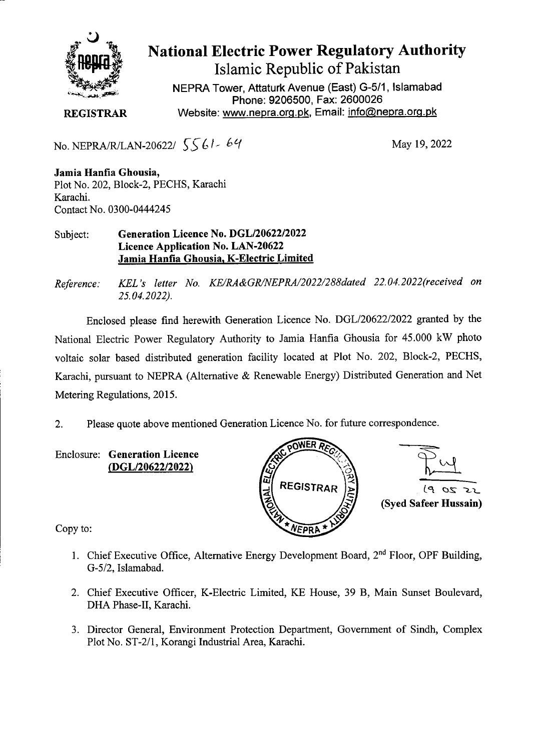

## **National Electric Power Regulatory Authority**

**Islamic Republic of Pakistan** 

NEPRA Tower, Attaturk Avenue (East) G-511, Islamabad Phone: 9206500, Fax: 2600026 **REGISTRAR** Website: www.nepra.org.pk, Email: info@nepra.org.pk

No. NEPRA/R/LAN-20622/  $5561 - 64$  May 19, 2022

**Jamia Hanfia Ghousia,**  Plot No. 202, Block-2, PECHS, Karachi Karachi. Contact No. 0300-0444245

Subject: **Generation Licence No. DGL/20622/2022 Licence Application No. LAN-20622 Jamia Hanfia Ghousia, K-Electric Limited** 

*Reference: KEL 's letter No. KE/RA&GRJNEPRA/2022/288dated 22.04. 2022(received on 25.04.2022).* 

Enclosed please find herewith Generation Licence No. DGL/20622/2022 granted by the National Electric Power Regulatory Authority to Jamia Hanfia Ghousia for 45.000 kW photo voltaic solar based distributed generation facility located at Plot No. 202, Block-2, PECHS, Karachi, pursuant to NEPRA (Alternative & Renewable Energy) Distributed Generation and Net Metering Regulations, 2015.

2. Please quote above mentioned Generation Licence No. for future correspondence.

Enclosure: **Generation Licence**  *(DGL/2062212022) \* -,' *(if* 



Copy to:

- 1. Chief Executive Office, Alternative Energy Development Board,  $2<sup>nd</sup>$  Floor, OPF Building, *G-5/2,* Islamabad.
- 2. Chief Executive Officer, K-Electric Limited, KE House, 39 B, Main Sunset Boulevard, DHA Phase-Il, Karachi.
- 3. Director General, Environment Protection Department, Government of Sindh, Complex Plot No. ST-2/1, Korangi Industrial Area, Karachi.